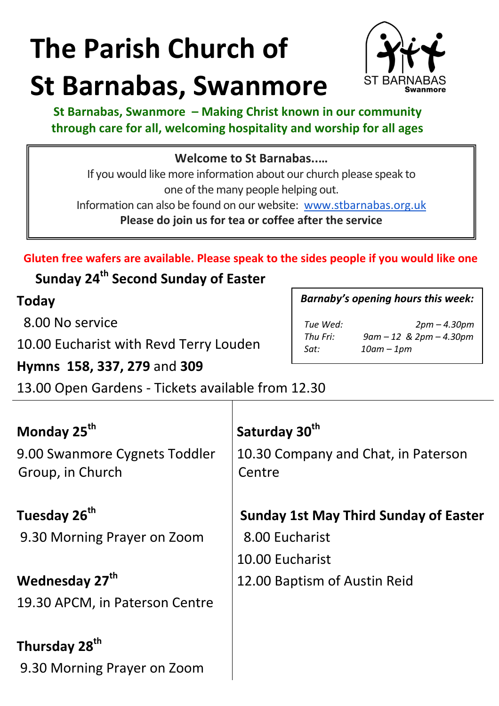# **The Parish Church of St Barnabas, Swanmore**



*Barnaby's opening hours this week:*

*Tue Wed: 2pm – 4.30pm Thu Fri: 9am – 12 & 2pm – 4.30pm*

*Sat: 10am – 1pm*

**St Barnabas, Swanmore – Making Christ known in our community through care for all, welcoming hospitality and worship for all ages**

#### **Welcome to St Barnabas..…**

If you would like more information about our church please speak to one of the many people helping out.

Information can also be found on our website: [www.stbarnabas.org.uk](http://www.stbarnabas.org.uk/)

**Please do join us for tea or coffee after the service**

**Gluten free wafers are available. Please speak to the sides people if you would like one**

**Sunday 24th Second Sunday of Easter**

#### **Today**

8.00 No service

10.00 Eucharist with Revd Terry Louden

#### **Hymns 158, 337, 279** and **309**

13.00 Open Gardens - Tickets available from 12.30

| Monday 25 <sup>th</sup><br>9.00 Swanmore Cygnets Toddler<br>Group, in Church | Saturday 30 <sup>th</sup><br>10.30 Company and Chat, in Paterson<br>Centre |
|------------------------------------------------------------------------------|----------------------------------------------------------------------------|
| Tuesday 26 <sup>th</sup><br>9.30 Morning Prayer on Zoom                      | <b>Sunday 1st May Third Sunday of Easter</b><br>8.00 Eucharist             |
|                                                                              | 10.00 Eucharist                                                            |
| Wednesday 27th                                                               | 12.00 Baptism of Austin Reid                                               |
| 19.30 APCM, in Paterson Centre                                               |                                                                            |
| Thursday 28 <sup>th</sup>                                                    |                                                                            |
| 9.30 Morning Prayer on Zoom                                                  |                                                                            |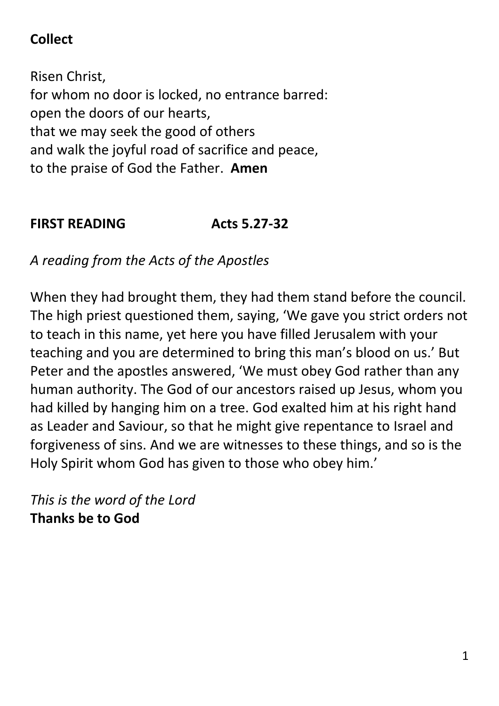### **Collect**

Risen Christ, for whom no door is locked, no entrance barred: open the doors of our hearts, that we may seek the good of others and walk the joyful road of sacrifice and peace, to the praise of God the Father. **Amen**

#### **FIRST READING Acts 5.27-32**

*A reading from the Acts of the Apostles*

When they had brought them, they had them stand before the council. The high priest questioned them, saying, 'We gave you strict orders not to teach in this name, yet here you have filled Jerusalem with your teaching and you are determined to bring this man's blood on us.' But Peter and the apostles answered, 'We must obey God rather than any human authority. The God of our ancestors raised up Jesus, whom you had killed by hanging him on a tree. God exalted him at his right hand as Leader and Saviour, so that he might give repentance to Israel and forgiveness of sins. And we are witnesses to these things, and so is the Holy Spirit whom God has given to those who obey him.'

*This is the word of the Lord* **Thanks be to God**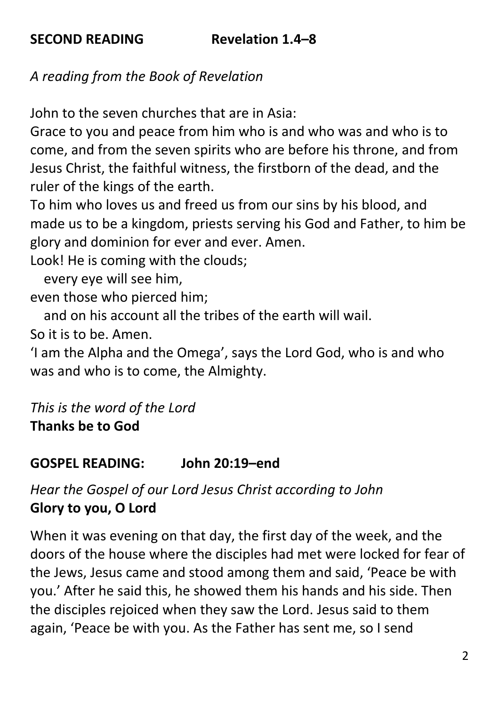*A reading from the Book of Revelation*

John to the seven churches that are in Asia:

Grace to you and peace from him who is and who was and who is to come, and from the seven spirits who are before his throne, and from Jesus Christ, the faithful witness, the firstborn of the dead, and the ruler of the kings of the earth.

To him who loves us and freed us from our sins by his blood, and made us to be a kingdom, priests serving his God and Father, to him be glory and dominion for ever and ever. Amen.

Look! He is coming with the clouds;

every eye will see him,

even those who pierced him;

and on his account all the tribes of the earth will wail.

So it is to be. Amen.

'I am the Alpha and the Omega', says the Lord God, who is and who was and who is to come, the Almighty.

*This is the word of the Lord* **Thanks be to God**

#### **GOSPEL READING: John 20:19–end**

#### *Hear the Gospel of our Lord Jesus Christ according to John* **Glory to you, O Lord**

When it was evening on that day, the first day of the week, and the doors of the house where the disciples had met were locked for fear of the Jews, Jesus came and stood among them and said, 'Peace be with you.' After he said this, he showed them his hands and his side. Then the disciples rejoiced when they saw the Lord. Jesus said to them again, 'Peace be with you. As the Father has sent me, so I send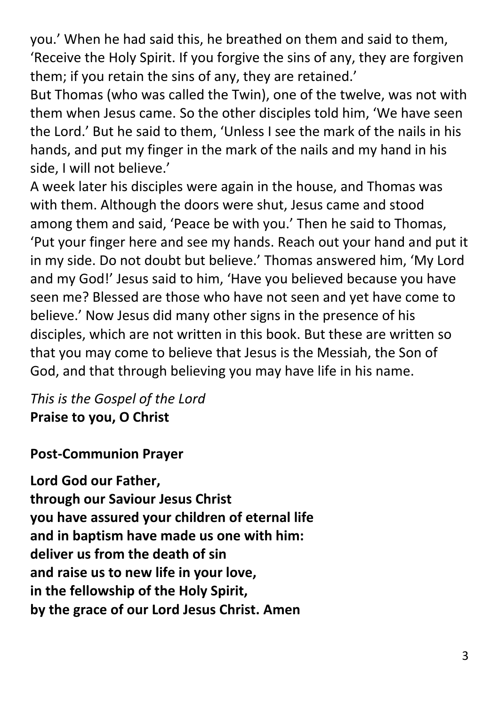you.' When he had said this, he breathed on them and said to them, 'Receive the Holy Spirit. If you forgive the sins of any, they are forgiven them; if you retain the sins of any, they are retained.'

But Thomas (who was called the Twin), one of the twelve, was not with them when Jesus came. So the other disciples told him, 'We have seen the Lord.' But he said to them, 'Unless I see the mark of the nails in his hands, and put my finger in the mark of the nails and my hand in his side, I will not believe.'

A week later his disciples were again in the house, and Thomas was with them. Although the doors were shut, Jesus came and stood among them and said, 'Peace be with you.' Then he said to Thomas, 'Put your finger here and see my hands. Reach out your hand and put it in my side. Do not doubt but believe.' Thomas answered him, 'My Lord and my God!' Jesus said to him, 'Have you believed because you have seen me? Blessed are those who have not seen and yet have come to believe.' Now Jesus did many other signs in the presence of his disciples, which are not written in this book. But these are written so that you may come to believe that Jesus is the Messiah, the Son of God, and that through believing you may have life in his name.

*This is the Gospel of the Lord* **Praise to you, O Christ**

**Post-Communion Prayer**

**Lord God our Father, through our Saviour Jesus Christ you have assured your children of eternal life and in baptism have made us one with him: deliver us from the death of sin and raise us to new life in your love, in the fellowship of the Holy Spirit, by the grace of our Lord Jesus Christ. Amen**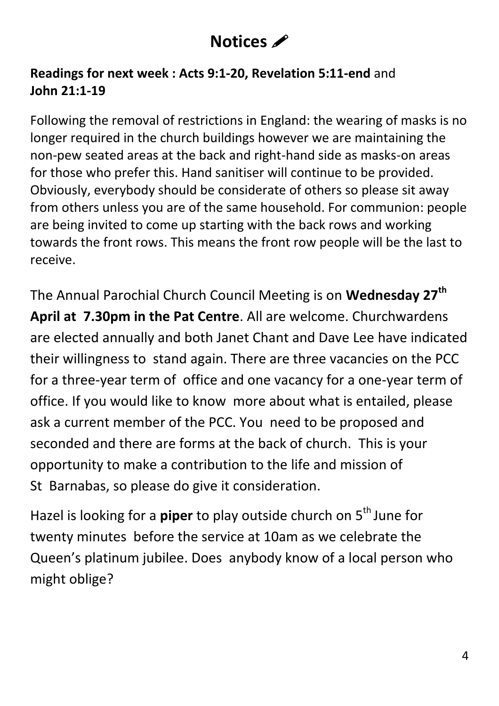# **Notices**

#### **Readings for next week : Acts 9:1-20, Revelation 5:11-end** and **John 21:1-19**

Following the removal of restrictions in England: the wearing of masks is no longer required in the church buildings however we are maintaining the non-pew seated areas at the back and right-hand side as masks-on areas for those who prefer this. Hand sanitiser will continue to be provided. Obviously, everybody should be considerate of others so please sit away from others unless you are of the same household. For communion: people are being invited to come up starting with the back rows and working towards the front rows. This means the front row people will be the last to receive.

The Annual Parochial Church Council Meeting is on **Wednesday 27th April at 7.30pm in the Pat Centre**. All are welcome. Churchwardens are elected annually and both Janet Chant and Dave Lee have indicated their willingness to stand again. There are three vacancies on the PCC for a three-year term of office and one vacancy for a one-year term of office. If you would like to know more about what is entailed, please ask a current member of the PCC. You need to be proposed and seconded and there are forms at the back of church. This is your opportunity to make a contribution to the life and mission of St Barnabas, so please do give it consideration.

Hazel is looking for a **piper** to play outside church on 5<sup>th</sup> June for twenty minutes before the service at 10am as we celebrate the Queen's platinum jubilee. Does anybody know of a local person who might oblige?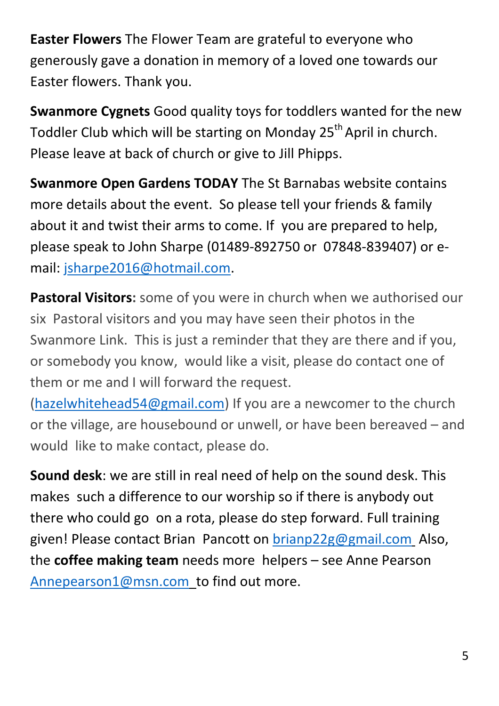**Easter Flowers** The Flower Team are grateful to everyone who generously gave a donation in memory of a loved one towards our Easter flowers. Thank you.

**Swanmore Cygnets** Good quality toys for toddlers wanted for the new Toddler Club which will be starting on Monday 25<sup>th</sup> April in church. Please leave at back of church or give to Jill Phipps.

**Swanmore Open Gardens TODAY** The St Barnabas website contains more details about the event. So please tell your friends & family about it and twist their arms to come. If you are prepared to help, please speak to John Sharpe (01489-892750 or 07848-839407) or email: jsharpe2016@hotmail.com.

**Pastoral Visitors:** some of you were in church when we authorised our six Pastoral visitors and you may have seen their photos in the Swanmore Link. This is just a reminder that they are there and if you, or somebody you know, would like a visit, please do contact one of them or me and I will forward the request.

(hazelwhitehead54@gmail.com) If you are a newcomer to the church or the village, are housebound or unwell, or have been bereaved – and would like to make contact, please do.

**Sound desk**: we are still in real need of help on the sound desk. This makes such a difference to our worship so if there is anybody out there who could go on a rota, please do step forward. Full training given! Please contact Brian Pancott on [brianp22g@gmail.com](mailto:brianp22g@gmail.com) Also, the **coffee making team** needs more helpers – see Anne Pearson [Annepearson1@msn.com](mailto:Annepearson1@msn.com) to find out more.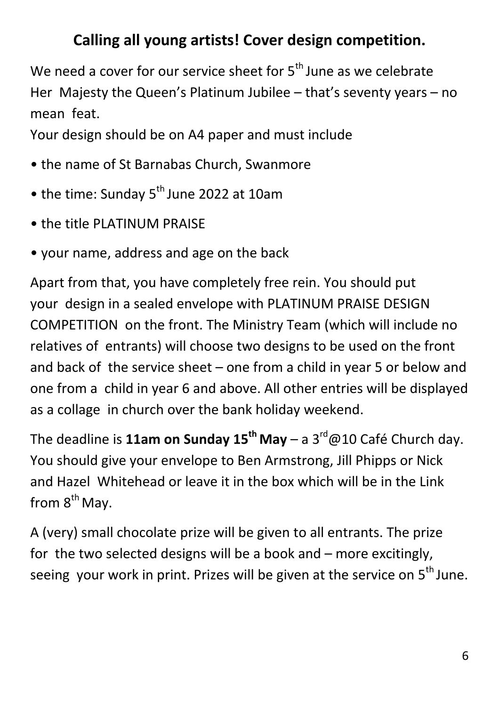## **Calling all young artists! Cover design competition.**

We need a cover for our service sheet for  $5<sup>th</sup>$  June as we celebrate Her Majesty the Queen's Platinum Jubilee – that's seventy years – no mean feat.

Your design should be on A4 paper and must include

- the name of St Barnabas Church, Swanmore
- the time: Sunday  $5^{th}$  June 2022 at 10am
- the title PLATINUM PRAISE
- your name, address and age on the back

Apart from that, you have completely free rein. You should put your design in a sealed envelope with PLATINUM PRAISE DESIGN COMPETITION on the front. The Ministry Team (which will include no relatives of entrants) will choose two designs to be used on the front and back of the service sheet – one from a child in year 5 or below and one from a child in year 6 and above. All other entries will be displayed as a collage in church over the bank holiday weekend.

The deadline is **11am on Sunday 15th May** – a 3rd@10 Café Church day. You should give your envelope to Ben Armstrong, Jill Phipps or Nick and Hazel Whitehead or leave it in the box which will be in the Link from  $8<sup>th</sup>$  May.

A (very) small chocolate prize will be given to all entrants. The prize for the two selected designs will be a book and – more excitingly, seeing your work in print. Prizes will be given at the service on  $5<sup>th</sup>$  June.